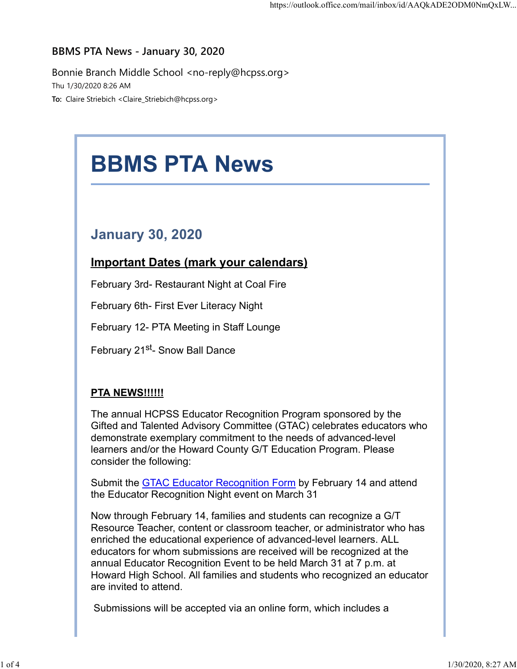## BBMS PTA News - January 30, 2020

Bonnie Branch Middle School <no-reply@hcpss.org> Thu 1/30/2020 8:26 AM To: Claire Striebich <Claire\_Striebich@hcpss.org>

# BBMS PTA News January 30, 2020 Important Dates (mark your calendars) February 3rd- Restaurant Night at Coal Fire February 6th- First Ever Literacy Night February 12- PTA Meeting in Staff Lounge February 21<sup>st</sup>- Snow Ball Dance **PTA NEWS!!!!!!**

The annual HCPSS Educator Recognition Program sponsored by the Gifted and Talented Advisory Committee (GTAC) celebrates educators who demonstrate exemplary commitment to the needs of advanced-level learners and/or the Howard County G/T Education Program. Please consider the following:

Submit the **GTAC Educator Recognition Form** by February 14 and attend the Educator Recognition Night event on March 31

Now through February 14, families and students can recognize a G/T Resource Teacher, content or classroom teacher, or administrator who has enriched the educational experience of advanced-level learners. ALL educators for whom submissions are received will be recognized at the annual Educator Recognition Event to be held March 31 at 7 p.m. at Howard High School. All families and students who recognized an educator are invited to attend.

Submissions will be accepted via an online form, which includes a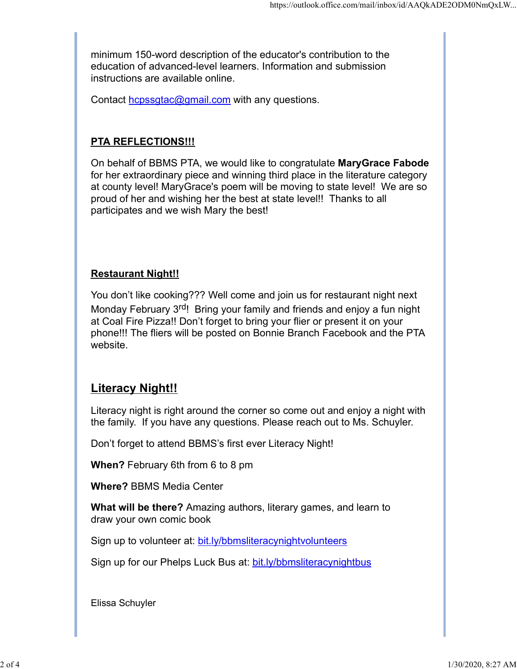minimum 150-word description of the educator's contribution to the education of advanced-level learners. Information and submission instructions are available online.

Contact hcpssgtac@gmail.com with any questions.

## PTA REFLECTIONS!!!

https://outlook.office.com/mail/inbox/id/AAQkADE2ODM0NmQxLW...<br>
minimum 150-word description of the educator's contribution to the<br>
education of advanced-level learners. Information and submission<br>
instructions are availab for her extraordinary piece and winning third place in the literature category at county level! MaryGrace's poem will be moving to state level! We are so proud of her and wishing her the best at state level!! Thanks to all participates and we wish Mary the best!

## Restaurant Night!!

You don't like cooking??? Well come and join us for restaurant night next Monday February 3<sup>rd</sup>! Bring your family and friends and enjoy a fun night at Coal Fire Pizza!! Don't forget to bring your flier or present it on your phone!!! The fliers will be posted on Bonnie Branch Facebook and the PTA website.

# **Literacy Night!!**

Literacy night is right around the corner so come out and enjoy a night with the family. If you have any questions. Please reach out to Ms. Schuyler.

Don't forget to attend BBMS's first ever Literacy Night!

When? February 6th from 6 to 8 pm

Where? BBMS Media Center

What will be there? Amazing authors, literary games, and learn to draw your own comic book

Sign up to volunteer at: bit.ly/bbmsliteracynightvolunteers

Sign up for our Phelps Luck Bus at: bit.ly/bbmsliteracynightbus

Elissa Schuyler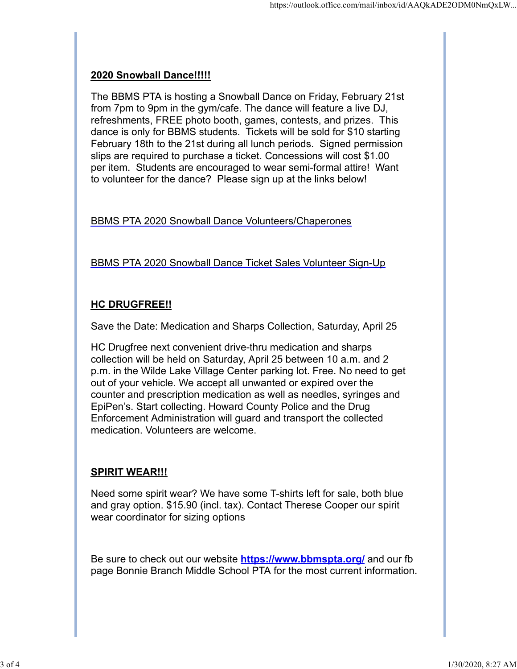### 2020 Snowball Dance!!!!!

The BBMS PTA is hosting a Snowball Dance on Friday, February 21st from 7pm to 9pm in the gym/cafe. The dance will feature a live DJ, refreshments, FREE photo booth, games, contests, and prizes. This dance is only for BBMS students. Tickets will be sold for \$10 starting February 18th to the 21st during all lunch periods. Signed permission slips are required to purchase a ticket. Concessions will cost \$1.00 per item. Students are encouraged to wear semi-formal attire! Want to volunteer for the dance? Please sign up at the links below!

BBMS PTA 2020 Snowball Dance Volunteers/Chaperones

BBMS PTA 2020 Snowball Dance Ticket Sales Volunteer Sign-Up

## HC DRUGFREE!!

Save the Date: Medication and Sharps Collection, Saturday, April 25

HC Drugfree next convenient drive-thru medication and sharps collection will be held on Saturday, April 25 between 10 a.m. and 2 p.m. in the Wilde Lake Village Center parking lot. Free. No need to get out of your vehicle. We accept all unwanted or expired over the counter and prescription medication as well as needles, syringes and EpiPen's. Start collecting. Howard County Police and the Drug Enforcement Administration will guard and transport the collected medication. Volunteers are welcome.

### SPIRIT WEAR!!!

Need some spirit wear? We have some T-shirts left for sale, both blue and gray option. \$15.90 (incl. tax). Contact Therese Cooper our spirit wear coordinator for sizing options

Be sure to check out our website https://www.bbmspta.org/ and our fb page Bonnie Branch Middle School PTA for the most current information.